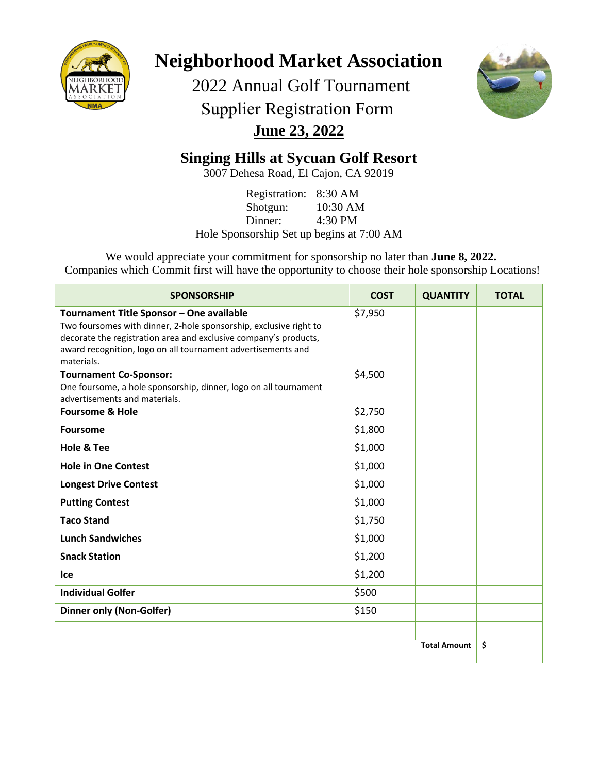

# **Neighborhood Market Association**

2022 Annual Golf Tournament

## Supplier Registration Form



## **June 23, 2022**

## **Singing Hills at Sycuan Golf Resort**

3007 Dehesa Road, El Cajon, CA 92019

Registration: 8:30 AM Shotgun: 10:30 AM Dinner: 4:30 PM

Hole Sponsorship Set up begins at 7:00 AM

We would appreciate your commitment for sponsorship no later than **June 8, 2022.**  Companies which Commit first will have the opportunity to choose their hole sponsorship Locations!

| <b>SPONSORSHIP</b>                                                                                                                                                                                                                                              | <b>COST</b> | <b>QUANTITY</b>     | <b>TOTAL</b> |
|-----------------------------------------------------------------------------------------------------------------------------------------------------------------------------------------------------------------------------------------------------------------|-------------|---------------------|--------------|
| Tournament Title Sponsor - One available<br>Two foursomes with dinner, 2-hole sponsorship, exclusive right to<br>decorate the registration area and exclusive company's products,<br>award recognition, logo on all tournament advertisements and<br>materials. | \$7,950     |                     |              |
| <b>Tournament Co-Sponsor:</b><br>One foursome, a hole sponsorship, dinner, logo on all tournament<br>advertisements and materials.                                                                                                                              | \$4,500     |                     |              |
| <b>Foursome &amp; Hole</b>                                                                                                                                                                                                                                      | \$2,750     |                     |              |
| <b>Foursome</b>                                                                                                                                                                                                                                                 | \$1,800     |                     |              |
| <b>Hole &amp; Tee</b>                                                                                                                                                                                                                                           | \$1,000     |                     |              |
| <b>Hole in One Contest</b>                                                                                                                                                                                                                                      | \$1,000     |                     |              |
| <b>Longest Drive Contest</b>                                                                                                                                                                                                                                    | \$1,000     |                     |              |
| <b>Putting Contest</b>                                                                                                                                                                                                                                          | \$1,000     |                     |              |
| <b>Taco Stand</b>                                                                                                                                                                                                                                               | \$1,750     |                     |              |
| <b>Lunch Sandwiches</b>                                                                                                                                                                                                                                         | \$1,000     |                     |              |
| <b>Snack Station</b>                                                                                                                                                                                                                                            | \$1,200     |                     |              |
| Ice                                                                                                                                                                                                                                                             | \$1,200     |                     |              |
| <b>Individual Golfer</b>                                                                                                                                                                                                                                        | \$500       |                     |              |
| <b>Dinner only (Non-Golfer)</b>                                                                                                                                                                                                                                 | \$150       |                     |              |
|                                                                                                                                                                                                                                                                 |             |                     |              |
|                                                                                                                                                                                                                                                                 |             | <b>Total Amount</b> | \$           |